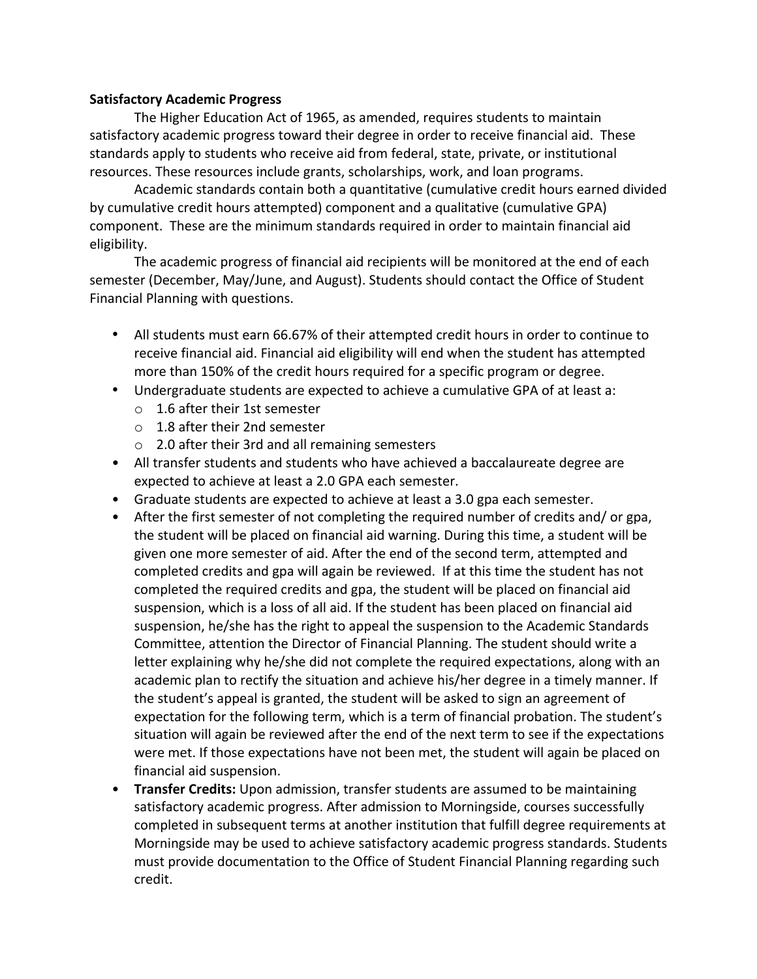## **Satisfactory Academic Progress**

The Higher Education Act of 1965, as amended, requires students to maintain satisfactory academic progress toward their degree in order to receive financial aid. These standards apply to students who receive aid from federal, state, private, or institutional resources. These resources include grants, scholarships, work, and loan programs.

Academic standards contain both a quantitative (cumulative credit hours earned divided by cumulative credit hours attempted) component and a qualitative (cumulative GPA) component. These are the minimum standards required in order to maintain financial aid eligibility.

The academic progress of financial aid recipients will be monitored at the end of each semester (December, May/June, and August). Students should contact the Office of Student Financial Planning with questions.

- All students must earn 66.67% of their attempted credit hours in order to continue to receive financial aid. Financial aid eligibility will end when the student has attempted more than 150% of the credit hours required for a specific program or degree.
- Undergraduate students are expected to achieve a cumulative GPA of at least a:
	- $\circ$  1.6 after their 1st semester
	- $\circ$  1.8 after their 2nd semester
	- $\circ$  2.0 after their 3rd and all remaining semesters
- All transfer students and students who have achieved a baccalaureate degree are expected to achieve at least a 2.0 GPA each semester.
- Graduate students are expected to achieve at least a 3.0 gpa each semester.
- After the first semester of not completing the required number of credits and/ or gpa, the student will be placed on financial aid warning. During this time, a student will be given one more semester of aid. After the end of the second term, attempted and completed credits and gpa will again be reviewed. If at this time the student has not completed the required credits and gpa, the student will be placed on financial aid suspension, which is a loss of all aid. If the student has been placed on financial aid suspension, he/she has the right to appeal the suspension to the Academic Standards Committee, attention the Director of Financial Planning. The student should write a letter explaining why he/she did not complete the required expectations, along with an academic plan to rectify the situation and achieve his/her degree in a timely manner. If the student's appeal is granted, the student will be asked to sign an agreement of expectation for the following term, which is a term of financial probation. The student's situation will again be reviewed after the end of the next term to see if the expectations were met. If those expectations have not been met, the student will again be placed on financial aid suspension.
- **Transfer Credits:** Upon admission, transfer students are assumed to be maintaining satisfactory academic progress. After admission to Morningside, courses successfully completed in subsequent terms at another institution that fulfill degree requirements at Morningside may be used to achieve satisfactory academic progress standards. Students must provide documentation to the Office of Student Financial Planning regarding such credit.